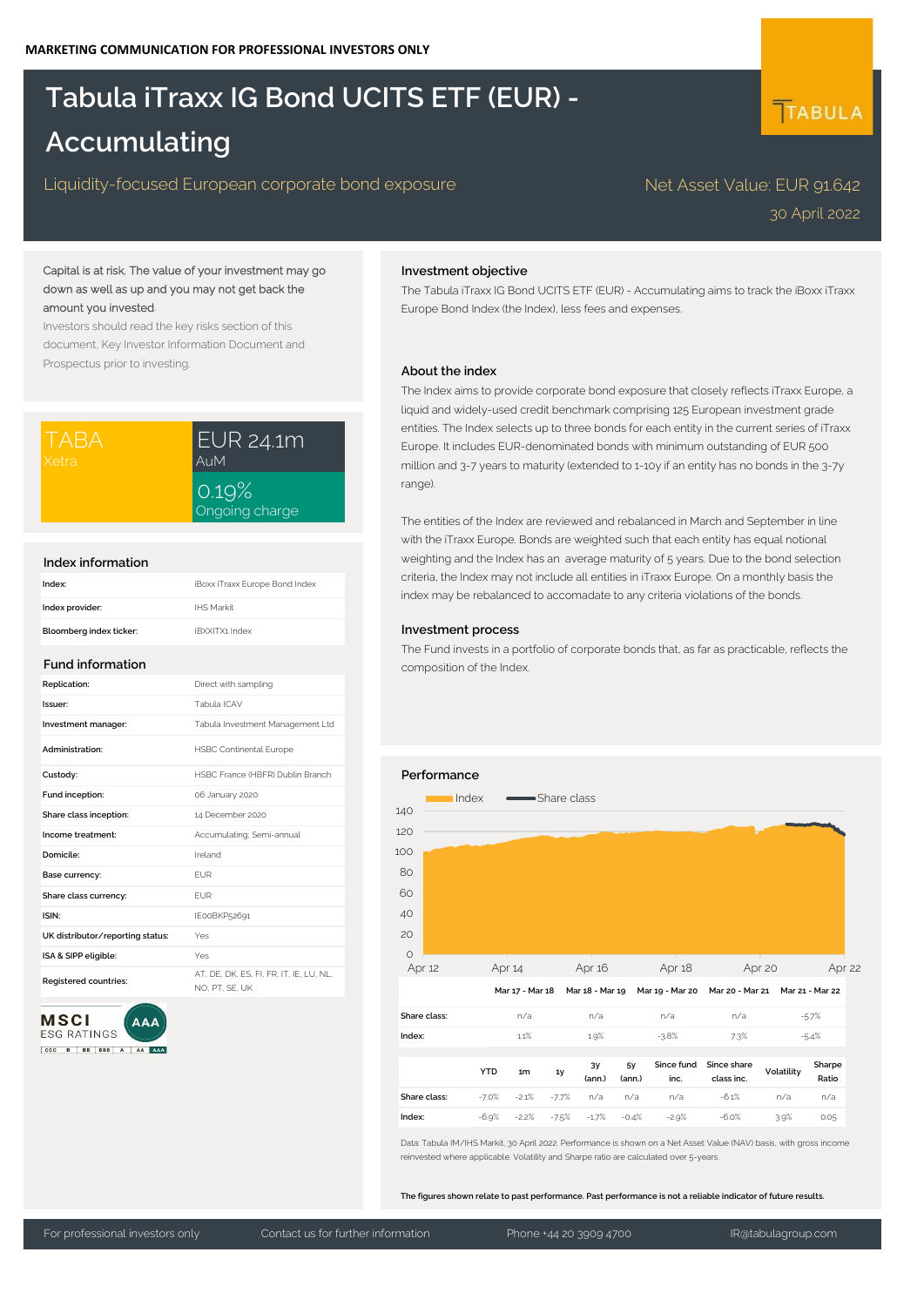# **Tabula iTraxx IG Bond UCITS ETF (EUR) - Accumulating**

# Liquidity-focused European corporate bond exposure Net Asset Value: EUR 91.642

# 30 April 2022

TABULA

# Capital is at risk. The value of your investment may go down as well as up and you may not get back the amount you invested.

Investors should read the key risks section of this document, Key Investor Information Document and Prospectus prior to investing.

| ITABA.  | EUR 24.1m               |  |  |
|---------|-------------------------|--|--|
| IXetral | AuM                     |  |  |
|         | 0.19%<br>Ongoing charge |  |  |

### **Index information**

| Index:                  | iBoxx iTraxx Europe Bond Index |
|-------------------------|--------------------------------|
| Index provider:         | IHS Markit                     |
| Bloomberg index ticker: | IBXXITX1 Index                 |

#### **Fund information**

| Replication:                     | Direct with sampling                                      |
|----------------------------------|-----------------------------------------------------------|
| Issuer:                          | Tabula ICAV                                               |
| Investment manager:              | Tabula Investment Management Ltd                          |
| Administration:                  | <b>HSBC Continental Europe</b>                            |
| Custody:                         | HSBC France (HBFR) Dublin Branch                          |
| Fund inception:                  | 06 January 2020                                           |
| Share class inception:           | 14 December 2020                                          |
| Income treatment:                | Accumulating; Semi-annual                                 |
| Domicile:                        | Ireland                                                   |
| Base currency:                   | <b>FUR</b>                                                |
| Share class currency:            | <b>FUR</b>                                                |
| ISIN:                            | IE00BKP52691                                              |
| UK distributor/reporting status: | Yes                                                       |
| ISA & SIPP eligible:             | Yes                                                       |
| Registered countries:            | AT. DE. DK. ES. FI. FR. IT. IE. LU. NL.<br>NO. PT. SE. UK |



# **Investment objective**

The Tabula iTraxx IG Bond UCITS ETF (EUR) - Accumulating aims to track the iBoxx iTraxx Europe Bond Index (the Index), less fees and expenses.

# **About the index**

The Index aims to provide corporate bond exposure that closely reflects iTraxx Europe, a liquid and widely-used credit benchmark comprising 125 European investment grade entities. The Index selects up to three bonds for each entity in the current series of iTraxx Europe. It includes EUR-denominated bonds with minimum outstanding of EUR 500 million and 3-7 years to maturity (extended to 1-10y if an entity has no bonds in the 3-7y range)

The entities of the Index are reviewed and rebalanced in March and September in line with the iTraxx Europe. Bonds are weighted such that each entity has equal notional weighting and the Index has an average maturity of 5 years. Due to the bond selection criteria, the Index may not include all entities in iTraxx Europe. On a monthly basis the index may be rebalanced to accomadate to any criteria violations of the bonds.

#### **Investment process**

The Fund invests in a portfolio of corporate bonds that, as far as practicable, reflects the composition of the Index.



**The figures shown relate to past performance. Past performance is not a reliable indicator of future results.**

For professional investors only Contact us for further information Phone +44 20 3909 4700 IR@tabulagroup.com